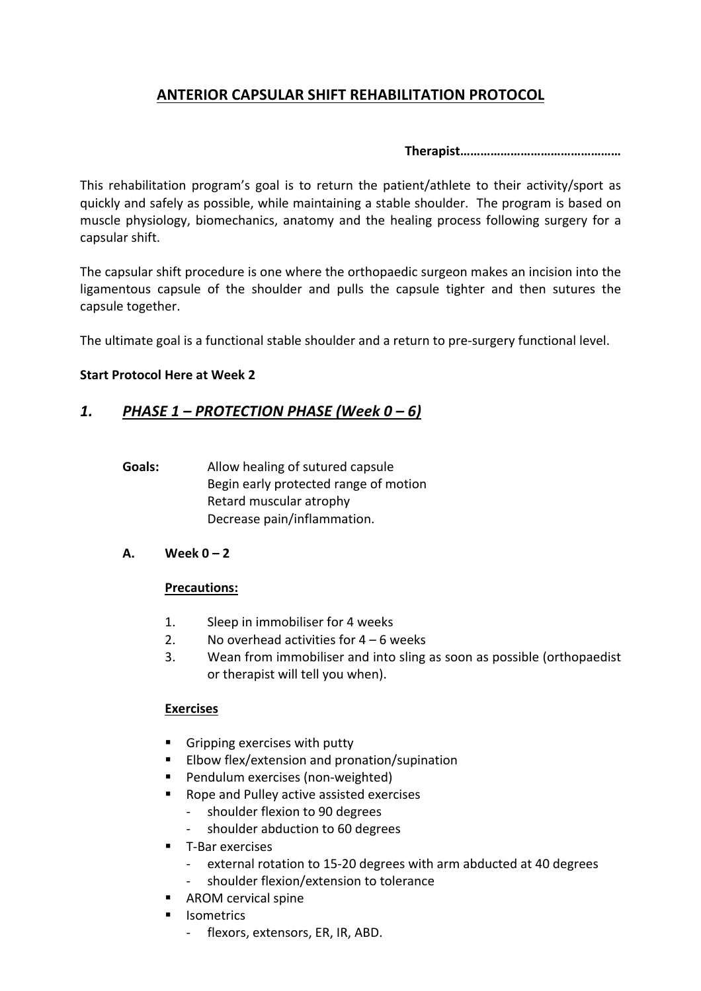# **ANTERIOR CAPSULAR SHIFT REHABILITATION PROTOCOL**

**Therapist…………………………………………**

This rehabilitation program's goal is to return the patient/athlete to their activity/sport as quickly and safely as possible, while maintaining a stable shoulder. The program is based on muscle physiology, biomechanics, anatomy and the healing process following surgery for a capsular shift.

The capsular shift procedure is one where the orthopaedic surgeon makes an incision into the ligamentous capsule of the shoulder and pulls the capsule tighter and then sutures the capsule together.

The ultimate goal is a functional stable shoulder and a return to pre-surgery functional level.

## **Start Protocol Here at Week 2**

# *1. PHASE 1 – PROTECTION PHASE (Week 0 – 6)*

- **Goals:** Allow healing of sutured capsule Begin early protected range of motion Retard muscular atrophy Decrease pain/inflammation.
- **A. Week 0 – 2**

## **Precautions:**

- 1. Sleep in immobiliser for 4 weeks
- 2. No overhead activities for  $4 6$  weeks
- 3. Wean from immobiliser and into sling as soon as possible (orthopaedist or therapist will tell you when).

## **Exercises**

- Gripping exercises with putty
- Elbow flex/extension and pronation/supination
- Pendulum exercises (non-weighted)
- Rope and Pulley active assisted exercises
	- shoulder flexion to 90 degrees
	- shoulder abduction to 60 degrees
- T-Bar exercises
	- external rotation to 15-20 degrees with arm abducted at 40 degrees
	- shoulder flexion/extension to tolerance
- AROM cervical spine
- § Isometrics
	- flexors, extensors, ER, IR, ABD.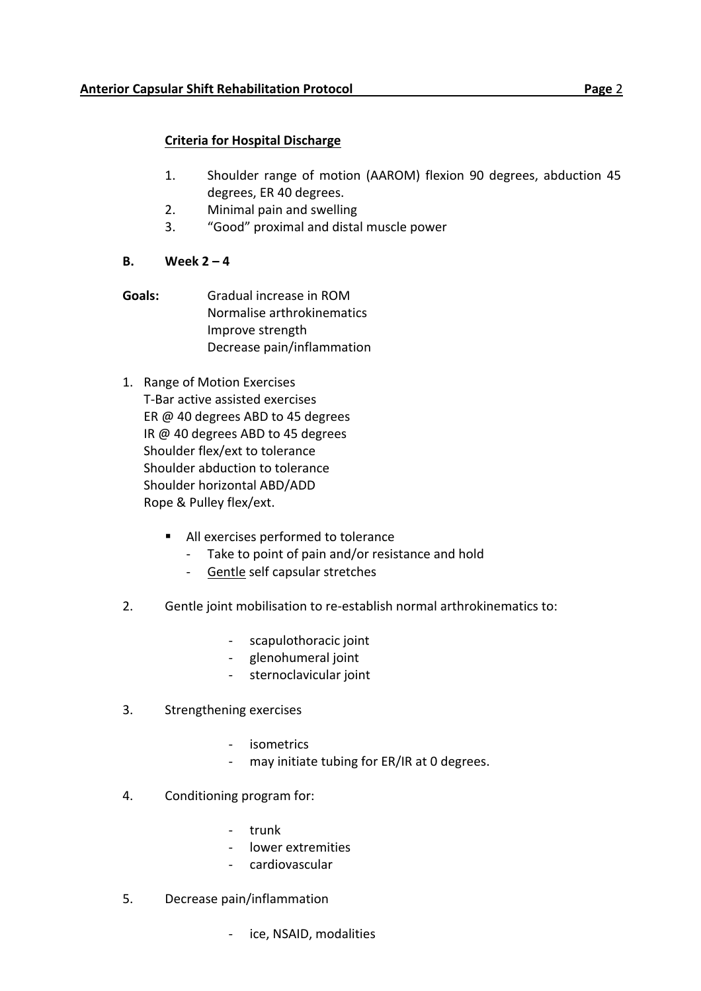## **Criteria for Hospital Discharge**

- 1. Shoulder range of motion (AAROM) flexion 90 degrees, abduction 45 degrees, ER 40 degrees.
- 2. Minimal pain and swelling
- 3. "Good" proximal and distal muscle power
- **B. Week 2 – 4**
- **Goals:** Gradual increase in ROM Normalise arthrokinematics Improve strength Decrease pain/inflammation
- 1. Range of Motion Exercises T-Bar active assisted exercises ER @ 40 degrees ABD to 45 degrees IR @ 40 degrees ABD to 45 degrees Shoulder flex/ext to tolerance Shoulder abduction to tolerance Shoulder horizontal ABD/ADD Rope & Pulley flex/ext.
	- All exercises performed to tolerance
		- Take to point of pain and/or resistance and hold
		- Gentle self capsular stretches
- 2. Gentle joint mobilisation to re-establish normal arthrokinematics to:
	- scapulothoracic joint
	- glenohumeral joint
	- sternoclavicular joint
- 3. Strengthening exercises
	- isometrics
	- may initiate tubing for ER/IR at 0 degrees.
- 4. Conditioning program for:
	- trunk
	- lower extremities
	- cardiovascular
- 5. Decrease pain/inflammation
	- ice, NSAID, modalities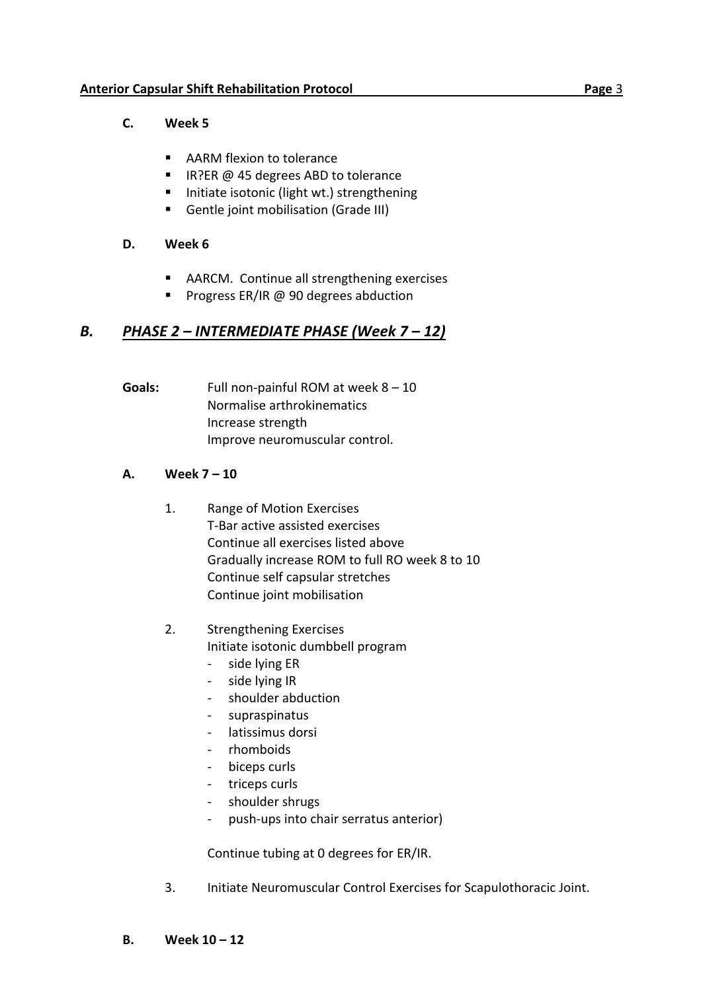# **C. Week 5**

- AARM flexion to tolerance
- IR?ER @ 45 degrees ABD to tolerance
- Initiate isotonic (light wt.) strengthening
- Gentle joint mobilisation (Grade III)

## **D. Week 6**

- AARCM. Continue all strengthening exercises
- Progress ER/IR @ 90 degrees abduction

# *B. PHASE 2 – INTERMEDIATE PHASE (Week 7 – 12)*

**Goals:** Full non-painful ROM at week 8 – 10 Normalise arthrokinematics Increase strength Improve neuromuscular control.

# **A. Week 7 – 10**

- 1. Range of Motion Exercises T-Bar active assisted exercises Continue all exercises listed above Gradually increase ROM to full RO week 8 to 10 Continue self capsular stretches Continue joint mobilisation
- 2. Strengthening Exercises Initiate isotonic dumbbell program
	- side lying ER
	- side lying IR
	- shoulder abduction
	- supraspinatus
	- latissimus dorsi
	- rhomboids
	- biceps curls
	- triceps curls
	- shoulder shrugs
	- push-ups into chair serratus anterior)

Continue tubing at 0 degrees for ER/IR.

3. Initiate Neuromuscular Control Exercises for Scapulothoracic Joint.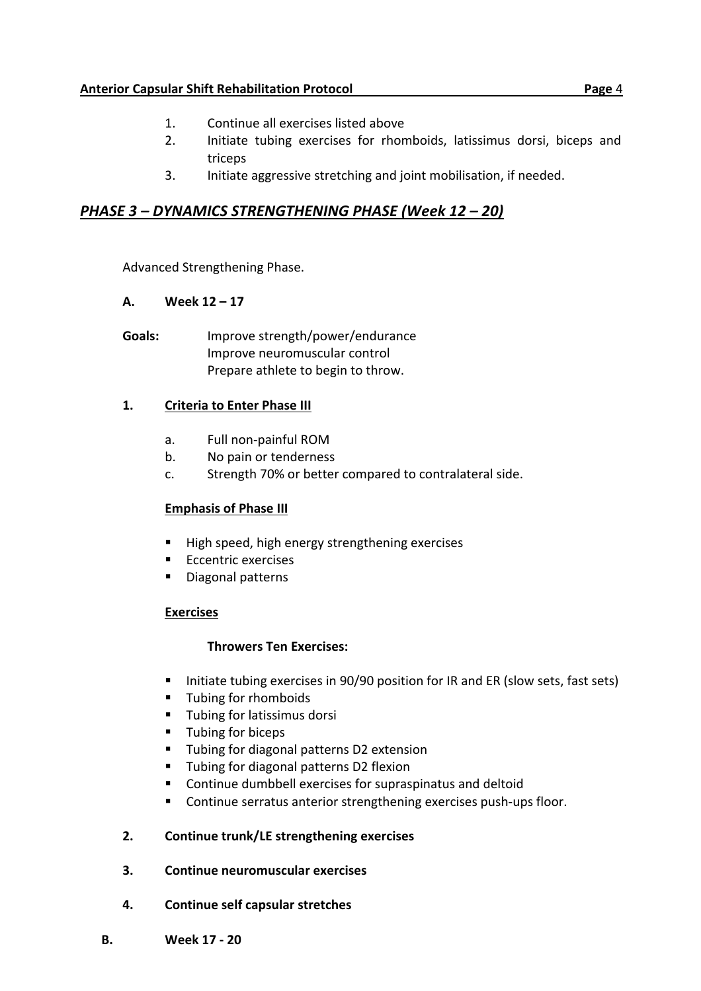## **Anterior Capsular Shift Rehabilitation Protocol Page** 4

- 1. Continue all exercises listed above
- 2. Initiate tubing exercises for rhomboids, latissimus dorsi, biceps and triceps
- 3. Initiate aggressive stretching and joint mobilisation, if needed.

# *PHASE 3 – DYNAMICS STRENGTHENING PHASE (Week 12 – 20)*

Advanced Strengthening Phase.

## **A. Week 12 – 17**

**Goals:** Improve strength/power/endurance Improve neuromuscular control Prepare athlete to begin to throw.

## **1. Criteria to Enter Phase III**

- a. Full non-painful ROM
- b. No pain or tenderness
- c. Strength 70% or better compared to contralateral side.

### **Emphasis of Phase III**

- High speed, high energy strengthening exercises
- Eccentric exercises
- Diagonal patterns

### **Exercises**

### **Throwers Ten Exercises:**

- Initiate tubing exercises in 90/90 position for IR and ER (slow sets, fast sets)
- Tubing for rhomboids
- Tubing for latissimus dorsi
- Tubing for biceps
- Tubing for diagonal patterns D2 extension
- Tubing for diagonal patterns D2 flexion
- Continue dumbbell exercises for supraspinatus and deltoid
- Continue serratus anterior strengthening exercises push-ups floor.

### **2. Continue trunk/LE strengthening exercises**

- **3. Continue neuromuscular exercises**
- **4. Continue self capsular stretches**
- **B. Week 17 - 20**